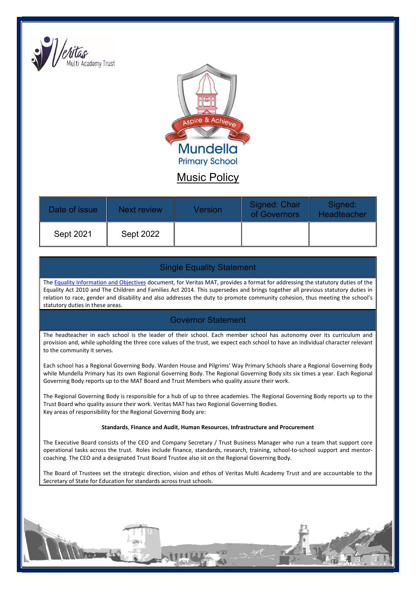



Music Policy

| Date of issue | <b>Next review</b> | Version | Signed: Chair<br>of Governors | Signed:<br><b>Headteacher</b> |
|---------------|--------------------|---------|-------------------------------|-------------------------------|
| Sept 2021     | Sept 2022          |         |                               |                               |

# Single Equality Statement

The Equality Information and Objectives document, for Veritas MAT, provides a format for addressing the statutory duties of the Equality Act 2010 and The Children and Families Act 2014. This supersedes and brings together all previous statutory duties in relation to race, gender and disability and also addresses the duty to promote community cohesion, thus meeting the school's statutory duties in these areas.

# Governor Statement

The headteacher in each school is the leader of their school. Each member school has autonomy over its curriculum and provision and, while upholding the three core values of the trust, we expect each school to have an individual character relevant to the community it serves.

Each school has a Regional Governing Body. Warden House and Pilgrims' Way Primary Schools share a Regional Governing Body while Mundella Primary has its own Regional Governing Body. The Regional Governing Body sits six times a year. Each Regional Governing Body reports up to the MAT Board and Trust Members who quality assure their work.

The Regional Governing Body is responsible for a hub of up to three academies. The Regional Governing Body reports up to the Trust Board who quality assure their work. Veritas MAT has two Regional Governing Bodies. Key areas of responsibility for the Regional Governing Body are:

#### Standards, Finance and Audit, Human Resources, Infrastructure and Procurement

The Executive Board consists of the CEO and Company Secretary / Trust Business Manager who run a team that support core operational tasks across the trust. Roles include finance, standards, research, training, school-to-school support and mentorcoaching. The CEO and a designated Trust Board Trustee also sit on the Regional Governing Body.

The Board of Trustees set the strategic direction, vision and ethos of Veritas Multi Academy Trust and are accountable to the Secretary of State for Education for standards across trust schools.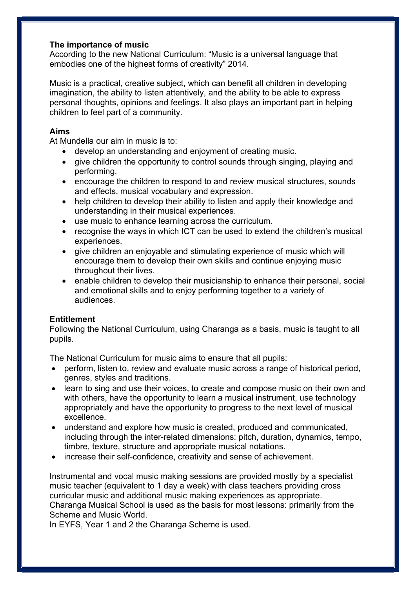## The importance of music

According to the new National Curriculum: "Music is a universal language that embodies one of the highest forms of creativity" 2014.

Music is a practical, creative subject, which can benefit all children in developing imagination, the ability to listen attentively, and the ability to be able to express personal thoughts, opinions and feelings. It also plays an important part in helping children to feel part of a community.

# Aims

At Mundella our aim in music is to:

- develop an understanding and enjoyment of creating music.
- give children the opportunity to control sounds through singing, playing and performing.
- encourage the children to respond to and review musical structures, sounds and effects, musical vocabulary and expression.
- help children to develop their ability to listen and apply their knowledge and understanding in their musical experiences.
- use music to enhance learning across the curriculum.
- recognise the ways in which ICT can be used to extend the children's musical experiences.
- give children an enjoyable and stimulating experience of music which will encourage them to develop their own skills and continue enjoying music throughout their lives.
- enable children to develop their musicianship to enhance their personal, social and emotional skills and to enjoy performing together to a variety of audiences.

# **Entitlement**

Following the National Curriculum, using Charanga as a basis, music is taught to all pupils.

The National Curriculum for music aims to ensure that all pupils:

- perform, listen to, review and evaluate music across a range of historical period, genres, styles and traditions.
- learn to sing and use their voices, to create and compose music on their own and with others, have the opportunity to learn a musical instrument, use technology appropriately and have the opportunity to progress to the next level of musical excellence.
- understand and explore how music is created, produced and communicated, including through the inter-related dimensions: pitch, duration, dynamics, tempo, timbre, texture, structure and appropriate musical notations.
- increase their self-confidence, creativity and sense of achievement.

Instrumental and vocal music making sessions are provided mostly by a specialist music teacher (equivalent to 1 day a week) with class teachers providing cross curricular music and additional music making experiences as appropriate. Charanga Musical School is used as the basis for most lessons: primarily from the Scheme and Music World.

In EYFS, Year 1 and 2 the Charanga Scheme is used.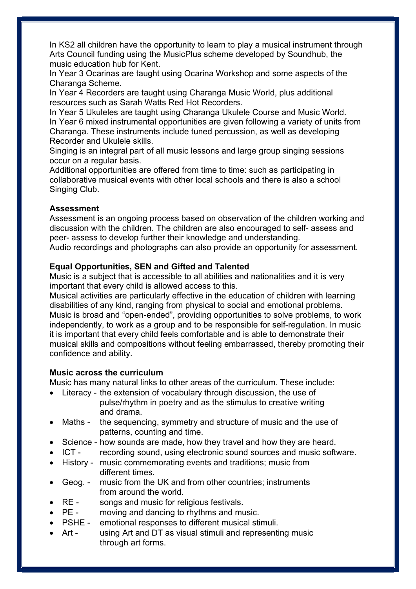In KS2 all children have the opportunity to learn to play a musical instrument through Arts Council funding using the MusicPlus scheme developed by Soundhub, the music education hub for Kent.

In Year 3 Ocarinas are taught using Ocarina Workshop and some aspects of the Charanga Scheme.

In Year 4 Recorders are taught using Charanga Music World, plus additional resources such as Sarah Watts Red Hot Recorders.

In Year 5 Ukuleles are taught using Charanga Ukulele Course and Music World. In Year 6 mixed instrumental opportunities are given following a variety of units from Charanga. These instruments include tuned percussion, as well as developing Recorder and Ukulele skills.

Singing is an integral part of all music lessons and large group singing sessions occur on a regular basis.

Additional opportunities are offered from time to time: such as participating in collaborative musical events with other local schools and there is also a school Singing Club.

## Assessment

Assessment is an ongoing process based on observation of the children working and discussion with the children. The children are also encouraged to self- assess and peer- assess to develop further their knowledge and understanding. Audio recordings and photographs can also provide an opportunity for assessment.

## Equal Opportunities, SEN and Gifted and Talented

Music is a subject that is accessible to all abilities and nationalities and it is very important that every child is allowed access to this.

Musical activities are particularly effective in the education of children with learning disabilities of any kind, ranging from physical to social and emotional problems. Music is broad and "open-ended", providing opportunities to solve problems, to work independently, to work as a group and to be responsible for self-regulation. In music it is important that every child feels comfortable and is able to demonstrate their musical skills and compositions without feeling embarrassed, thereby promoting their confidence and ability.

## Music across the curriculum

Music has many natural links to other areas of the curriculum. These include:

- Literacy the extension of vocabulary through discussion, the use of pulse/rhythm in poetry and as the stimulus to creative writing and drama.
- Maths the sequencing, symmetry and structure of music and the use of patterns, counting and time.
- Science how sounds are made, how they travel and how they are heard.
- ICT recording sound, using electronic sound sources and music software.
- History music commemorating events and traditions; music from different times.
- Geog. music from the UK and from other countries; instruments from around the world.
- RE songs and music for religious festivals.
- PE moving and dancing to rhythms and music.
- PSHE emotional responses to different musical stimuli.
- Art using Art and DT as visual stimuli and representing music through art forms.